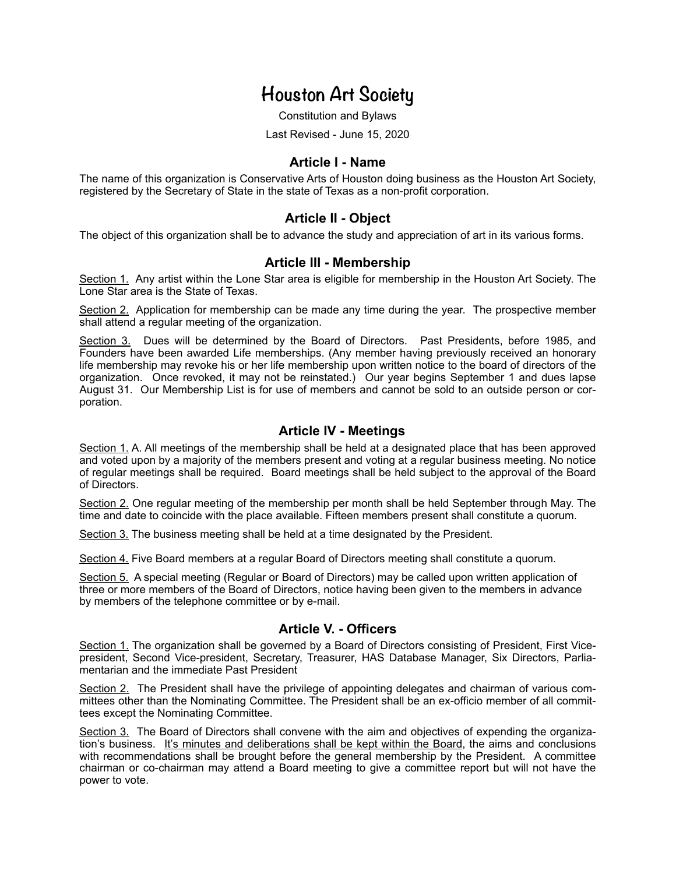# **Houston Art Society**

Constitution and Bylaws

Last Revised - June 15, 2020

#### **Article I - Name**

The name of this organization is Conservative Arts of Houston doing business as the Houston Art Society, registered by the Secretary of State in the state of Texas as a non-profit corporation.

#### **Article II - Object**

The object of this organization shall be to advance the study and appreciation of art in its various forms.

#### **Article III - Membership**

Section 1. Any artist within the Lone Star area is eligible for membership in the Houston Art Society. The Lone Star area is the State of Texas.

Section 2. Application for membership can be made any time during the year. The prospective member shall attend a regular meeting of the organization.

Section 3. Dues will be determined by the Board of Directors. Past Presidents, before 1985, and Founders have been awarded Life memberships. (Any member having previously received an honorary life membership may revoke his or her life membership upon written notice to the board of directors of the organization. Once revoked, it may not be reinstated.) Our year begins September 1 and dues lapse August 31. Our Membership List is for use of members and cannot be sold to an outside person or corporation.

#### **Article IV - Meetings**

Section 1. A. All meetings of the membership shall be held at a designated place that has been approved and voted upon by a majority of the members present and voting at a regular business meeting. No notice of regular meetings shall be required. Board meetings shall be held subject to the approval of the Board of Directors.

Section 2. One regular meeting of the membership per month shall be held September through May. The time and date to coincide with the place available. Fifteen members present shall constitute a quorum.

Section 3. The business meeting shall be held at a time designated by the President.

Section 4. Five Board members at a regular Board of Directors meeting shall constitute a quorum.

Section 5. A special meeting (Regular or Board of Directors) may be called upon written application of three or more members of the Board of Directors, notice having been given to the members in advance by members of the telephone committee or by e-mail.

#### **Article V. - Officers**

Section 1. The organization shall be governed by a Board of Directors consisting of President, First Vicepresident, Second Vice-president, Secretary, Treasurer, HAS Database Manager, Six Directors, Parliamentarian and the immediate Past President

Section 2. The President shall have the privilege of appointing delegates and chairman of various committees other than the Nominating Committee. The President shall be an ex-officio member of all committees except the Nominating Committee.

Section 3. The Board of Directors shall convene with the aim and objectives of expending the organization's business. It's minutes and deliberations shall be kept within the Board, the aims and conclusions with recommendations shall be brought before the general membership by the President. A committee chairman or co-chairman may attend a Board meeting to give a committee report but will not have the power to vote.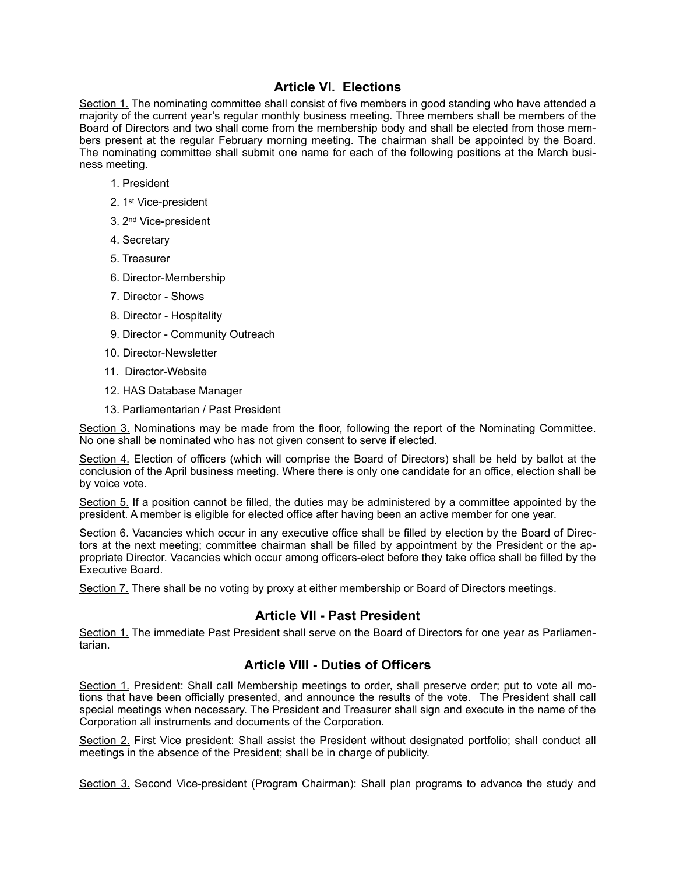## **Article VI. Elections**

Section 1. The nominating committee shall consist of five members in good standing who have attended a majority of the current year's regular monthly business meeting. Three members shall be members of the Board of Directors and two shall come from the membership body and shall be elected from those members present at the regular February morning meeting. The chairman shall be appointed by the Board. The nominating committee shall submit one name for each of the following positions at the March business meeting.

- 1. President
- 2. 1st Vice-president
- 3. 2nd Vice-president
- 4. Secretary
- 5. Treasurer
- 6. Director-Membership
- 7. Director Shows
- 8. Director Hospitality
- 9. Director Community Outreach
- 10. Director-Newsletter
- 11. Director-Website
- 12. HAS Database Manager
- 13. Parliamentarian / Past President

Section 3. Nominations may be made from the floor, following the report of the Nominating Committee. No one shall be nominated who has not given consent to serve if elected.

Section 4. Election of officers (which will comprise the Board of Directors) shall be held by ballot at the conclusion of the April business meeting. Where there is only one candidate for an office, election shall be by voice vote.

Section 5. If a position cannot be filled, the duties may be administered by a committee appointed by the president. A member is eligible for elected office after having been an active member for one year.

Section 6. Vacancies which occur in any executive office shall be filled by election by the Board of Directors at the next meeting; committee chairman shall be filled by appointment by the President or the appropriate Director. Vacancies which occur among officers-elect before they take office shall be filled by the Executive Board.

Section 7. There shall be no voting by proxy at either membership or Board of Directors meetings.

#### **Article VII - Past President**

Section 1. The immediate Past President shall serve on the Board of Directors for one year as Parliamentarian.

#### **Article VIII - Duties of Officers**

Section 1. President: Shall call Membership meetings to order, shall preserve order; put to vote all motions that have been officially presented, and announce the results of the vote. The President shall call special meetings when necessary. The President and Treasurer shall sign and execute in the name of the Corporation all instruments and documents of the Corporation.

Section 2. First Vice president: Shall assist the President without designated portfolio; shall conduct all meetings in the absence of the President; shall be in charge of publicity.

Section 3. Second Vice-president (Program Chairman): Shall plan programs to advance the study and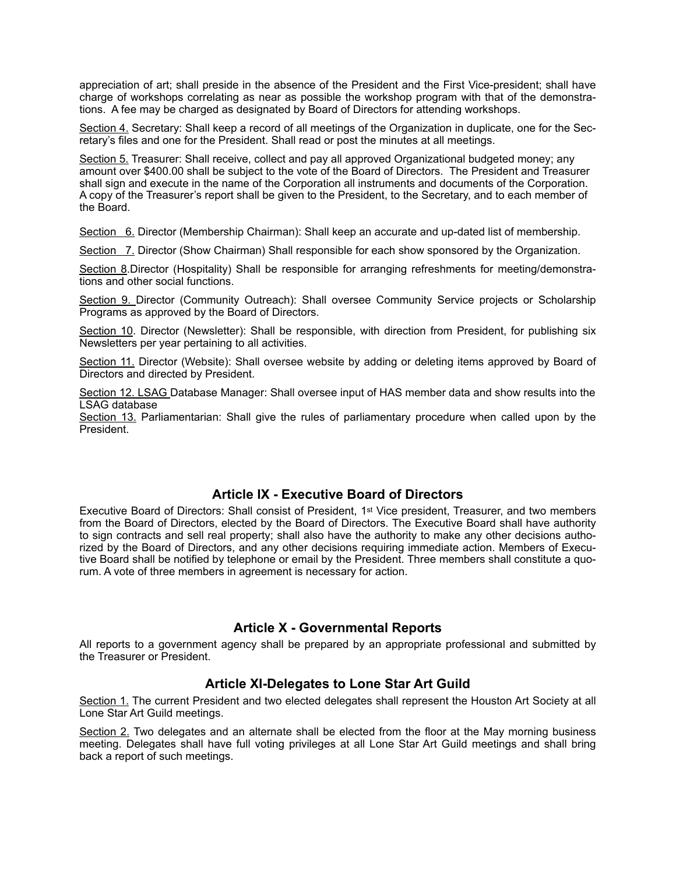appreciation of art; shall preside in the absence of the President and the First Vice-president; shall have charge of workshops correlating as near as possible the workshop program with that of the demonstrations. A fee may be charged as designated by Board of Directors for attending workshops.

Section 4. Secretary: Shall keep a record of all meetings of the Organization in duplicate, one for the Secretary's files and one for the President. Shall read or post the minutes at all meetings.

Section 5. Treasurer: Shall receive, collect and pay all approved Organizational budgeted money; any amount over \$400.00 shall be subject to the vote of the Board of Directors. The President and Treasurer shall sign and execute in the name of the Corporation all instruments and documents of the Corporation. A copy of the Treasurer's report shall be given to the President, to the Secretary, and to each member of the Board.

Section 6. Director (Membership Chairman): Shall keep an accurate and up-dated list of membership.

Section 7. Director (Show Chairman) Shall responsible for each show sponsored by the Organization.

Section 8.Director (Hospitality) Shall be responsible for arranging refreshments for meeting/demonstrations and other social functions.

Section 9. Director (Community Outreach): Shall oversee Community Service projects or Scholarship Programs as approved by the Board of Directors.

Section 10. Director (Newsletter): Shall be responsible, with direction from President, for publishing six Newsletters per year pertaining to all activities.

Section 11. Director (Website): Shall oversee website by adding or deleting items approved by Board of Directors and directed by President.

Section 12. LSAG Database Manager: Shall oversee input of HAS member data and show results into the LSAG database

Section 13. Parliamentarian: Shall give the rules of parliamentary procedure when called upon by the President.

#### **Article IX - Executive Board of Directors**

Executive Board of Directors: Shall consist of President, 1st Vice president, Treasurer, and two members from the Board of Directors, elected by the Board of Directors. The Executive Board shall have authority to sign contracts and sell real property; shall also have the authority to make any other decisions authorized by the Board of Directors, and any other decisions requiring immediate action. Members of Executive Board shall be notified by telephone or email by the President. Three members shall constitute a quorum. A vote of three members in agreement is necessary for action.

#### **Article X - Governmental Reports**

All reports to a government agency shall be prepared by an appropriate professional and submitted by the Treasurer or President.

#### **Article XI-Delegates to Lone Star Art Guild**

Section 1. The current President and two elected delegates shall represent the Houston Art Society at all Lone Star Art Guild meetings.

Section 2. Two delegates and an alternate shall be elected from the floor at the May morning business meeting. Delegates shall have full voting privileges at all Lone Star Art Guild meetings and shall bring back a report of such meetings.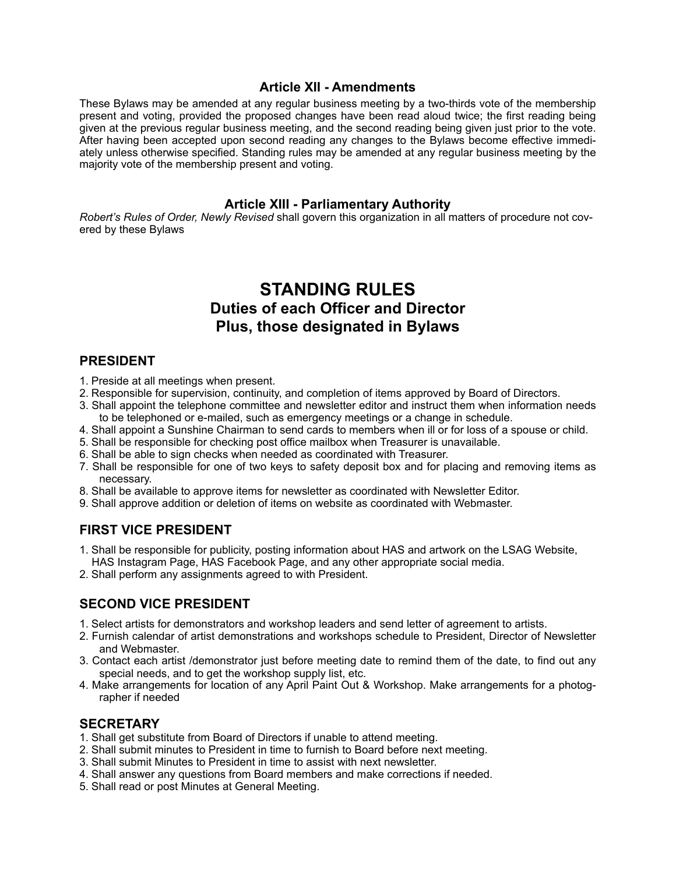#### **Article XII - Amendments**

These Bylaws may be amended at any regular business meeting by a two-thirds vote of the membership present and voting, provided the proposed changes have been read aloud twice; the first reading being given at the previous regular business meeting, and the second reading being given just prior to the vote. After having been accepted upon second reading any changes to the Bylaws become effective immediately unless otherwise specified. Standing rules may be amended at any regular business meeting by the majority vote of the membership present and voting.

#### **Article XIII - Parliamentary Authority**

*Robert's Rules of Order, Newly Revised* shall govern this organization in all matters of procedure not covered by these Bylaws

## **STANDING RULES Duties of each Officer and Director Plus, those designated in Bylaws**

#### **PRESIDENT**

- 1. Preside at all meetings when present.
- 2. Responsible for supervision, continuity, and completion of items approved by Board of Directors.
- 3. Shall appoint the telephone committee and newsletter editor and instruct them when information needs to be telephoned or e-mailed, such as emergency meetings or a change in schedule.
- 4. Shall appoint a Sunshine Chairman to send cards to members when ill or for loss of a spouse or child.
- 5. Shall be responsible for checking post office mailbox when Treasurer is unavailable.
- 6. Shall be able to sign checks when needed as coordinated with Treasurer.
- 7. Shall be responsible for one of two keys to safety deposit box and for placing and removing items as necessary.
- 8. Shall be available to approve items for newsletter as coordinated with Newsletter Editor.
- 9. Shall approve addition or deletion of items on website as coordinated with Webmaster.

#### **FIRST VICE PRESIDENT**

- 1. Shall be responsible for publicity, posting information about HAS and artwork on the LSAG Website, HAS Instagram Page, HAS Facebook Page, and any other appropriate social media.
- 2. Shall perform any assignments agreed to with President.

#### **SECOND VICE PRESIDENT**

- 1. Select artists for demonstrators and workshop leaders and send letter of agreement to artists.
- 2. Furnish calendar of artist demonstrations and workshops schedule to President, Director of Newsletter and Webmaster.
- 3. Contact each artist /demonstrator just before meeting date to remind them of the date, to find out any special needs, and to get the workshop supply list, etc.
- 4. Make arrangements for location of any April Paint Out & Workshop. Make arrangements for a photographer if needed

#### **SECRETARY**

- 1. Shall get substitute from Board of Directors if unable to attend meeting.
- 2. Shall submit minutes to President in time to furnish to Board before next meeting.
- 3. Shall submit Minutes to President in time to assist with next newsletter.
- 4. Shall answer any questions from Board members and make corrections if needed.
- 5. Shall read or post Minutes at General Meeting.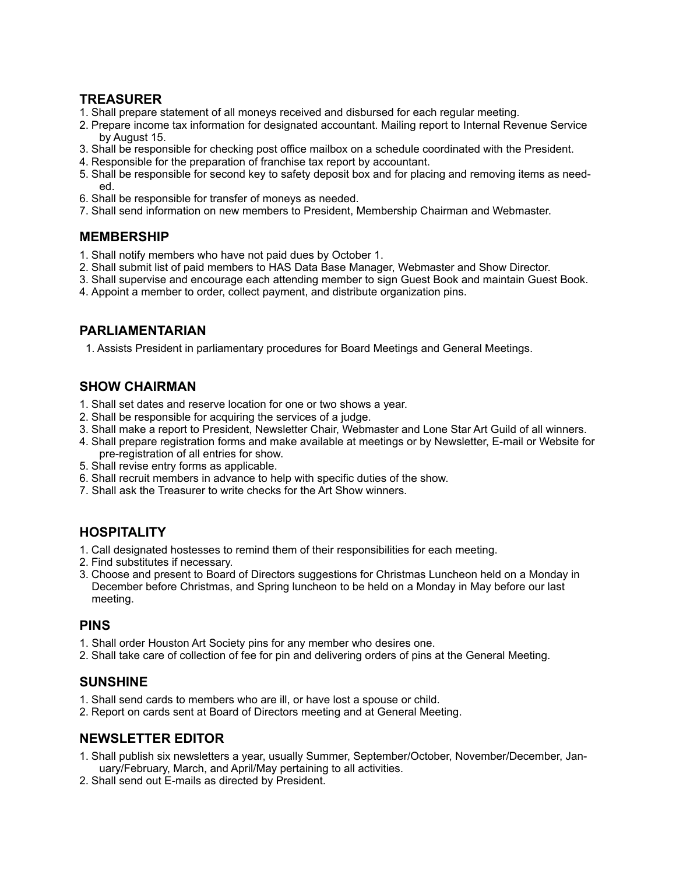## **TREASURER**

- 1. Shall prepare statement of all moneys received and disbursed for each regular meeting.
- 2. Prepare income tax information for designated accountant. Mailing report to Internal Revenue Service by August 15.
- 3. Shall be responsible for checking post office mailbox on a schedule coordinated with the President.
- 4. Responsible for the preparation of franchise tax report by accountant.
- 5. Shall be responsible for second key to safety deposit box and for placing and removing items as needed.
- 6. Shall be responsible for transfer of moneys as needed.
- 7. Shall send information on new members to President, Membership Chairman and Webmaster.

## **MEMBERSHIP**

- 1. Shall notify members who have not paid dues by October 1.
- 2. Shall submit list of paid members to HAS Data Base Manager, Webmaster and Show Director.
- 3. Shall supervise and encourage each attending member to sign Guest Book and maintain Guest Book.
- 4. Appoint a member to order, collect payment, and distribute organization pins.

## **PARLIAMENTARIAN**

1. Assists President in parliamentary procedures for Board Meetings and General Meetings.

## **SHOW CHAIRMAN**

- 1. Shall set dates and reserve location for one or two shows a year.
- 2. Shall be responsible for acquiring the services of a judge.
- 3. Shall make a report to President, Newsletter Chair, Webmaster and Lone Star Art Guild of all winners.
- 4. Shall prepare registration forms and make available at meetings or by Newsletter, E-mail or Website for pre-registration of all entries for show.
- 5. Shall revise entry forms as applicable.
- 6. Shall recruit members in advance to help with specific duties of the show.
- 7. Shall ask the Treasurer to write checks for the Art Show winners.

## **HOSPITALITY**

- 1. Call designated hostesses to remind them of their responsibilities for each meeting.
- 2. Find substitutes if necessary.
- 3. Choose and present to Board of Directors suggestions for Christmas Luncheon held on a Monday in December before Christmas, and Spring luncheon to be held on a Monday in May before our last meeting.

## **PINS**

- 1. Shall order Houston Art Society pins for any member who desires one.
- 2. Shall take care of collection of fee for pin and delivering orders of pins at the General Meeting.

## **SUNSHINE**

- 1. Shall send cards to members who are ill, or have lost a spouse or child.
- 2. Report on cards sent at Board of Directors meeting and at General Meeting.

## **NEWSLETTER EDITOR**

- 1. Shall publish six newsletters a year, usually Summer, September/October, November/December, January/February, March, and April/May pertaining to all activities.
- 2. Shall send out E-mails as directed by President.